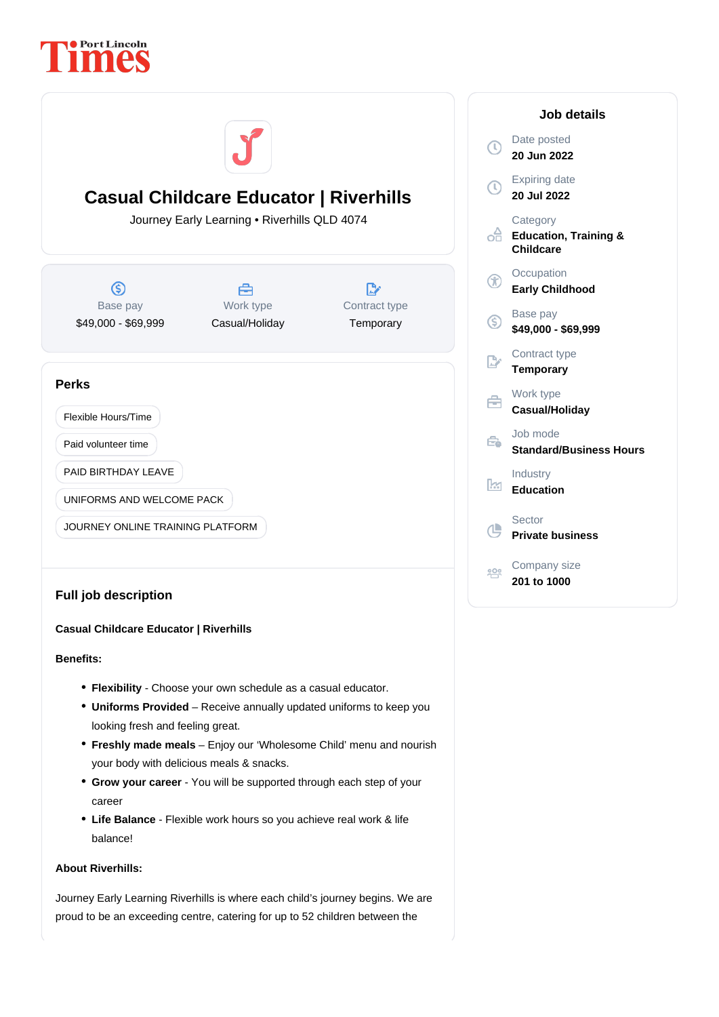



# **Casual Childcare Educator | Riverhills**

## **Benefits:**

- **Flexibility** Choose your own schedule as a casual educator.
- Uniforms Provided Receive annually updated uniforms to keep you looking fresh and feeling great.
- **Freshly made meals** Enjoy our 'Wholesome Child' menu and nourish your body with delicious meals & snacks.
- Grow your career You will be supported through each step of your career
- Life Balance Flexible work hours so you achieve real work & life balance!

## **About Riverhills:**

Journey Early Learning Riverhills is where each child's journey begins. We are proud to be an exceeding centre, catering for up to 52 children between the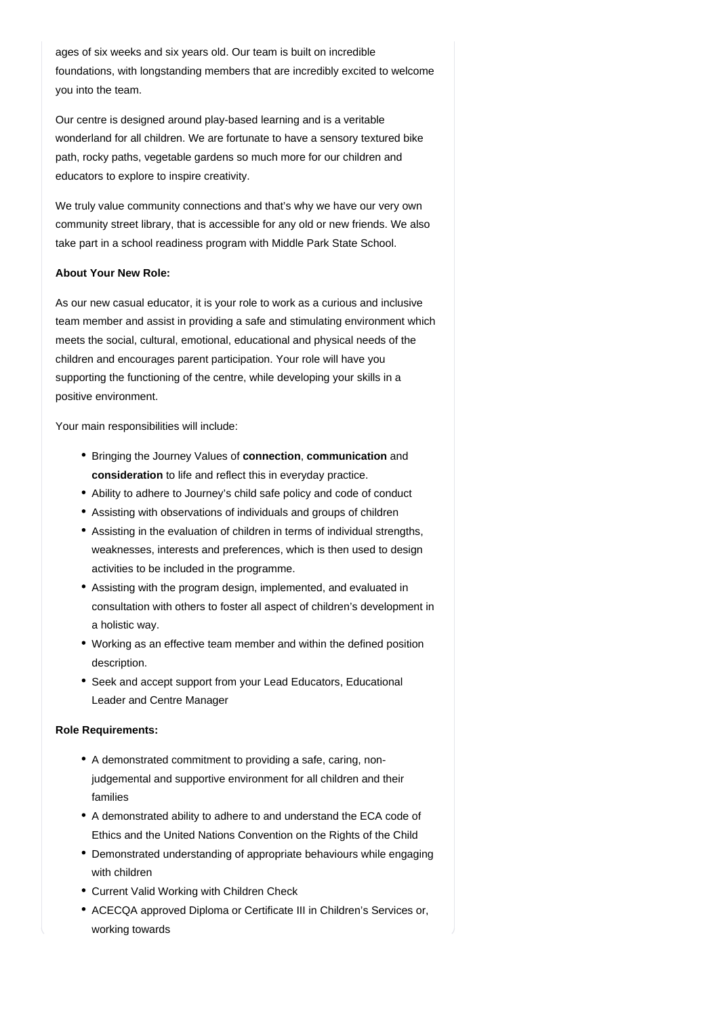ages of six weeks and six years old. Our team is built on incredible foundations, with longstanding members that are incredibly excited to welcome you into the team.

Our centre is designed around play-based learning and is a veritable wonderland for all children. We are fortunate to have a sensory textured bike path, rocky paths, vegetable gardens so much more for our children and educators to explore to inspire creativity.

We truly value community connections and that's why we have our very own community street library, that is accessible for any old or new friends. We also take part in a school readiness program with Middle Park State School.

### **About Your New Role:**

As our new casual educator, it is your role to work as a curious and inclusive team member and assist in providing a safe and stimulating environment which meets the social, cultural, emotional, educational and physical needs of the children and encourages parent participation. Your role will have you supporting the functioning of the centre, while developing your skills in a positive environment.

Your main responsibilities will include:

- Bringing the Journey Values of **connection**, **communication** and consideration to life and reflect this in everyday practice.
- Ability to adhere to Journey's child safe policy and code of conduct
- Assisting with observations of individuals and groups of children
- Assisting in the evaluation of children in terms of individual strengths, weaknesses, interests and preferences, which is then used to design activities to be included in the programme.
- Assisting with the program design, implemented, and evaluated in consultation with others to foster all aspect of children's development in a holistic way.
- Working as an effective team member and within the defined position description.
- Seek and accept support from your Lead Educators, Educational Leader and Centre Manager

#### **Role Requirements:**

- A demonstrated commitment to providing a safe, caring, nonjudgemental and supportive environment for all children and their families
- A demonstrated ability to adhere to and understand the ECA code of Ethics and the United Nations Convention on the Rights of the Child
- Demonstrated understanding of appropriate behaviours while engaging with children
- Current Valid Working with Children Check
- ACECQA approved Diploma or Certificate III in Children's Services or, working towards